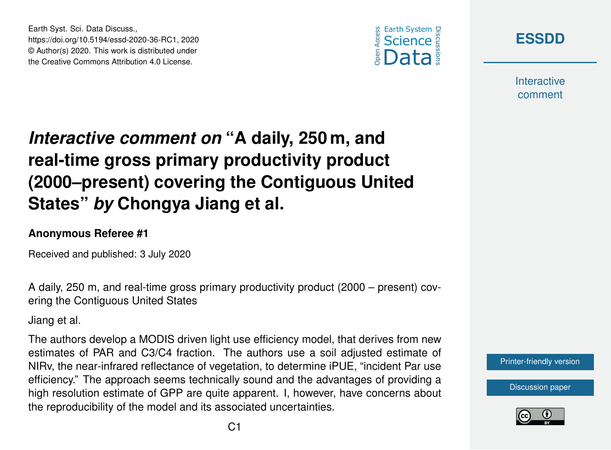





**Interactive** comment

## *Interactive comment on* **"A daily, 250 m, and real-time gross primary productivity product (2000–present) covering the Contiguous United States"** *by* **Chongya Jiang et al.**

## **Anonymous Referee #1**

Received and published: 3 July 2020

A daily, 250 m, and real-time gross primary productivity product (2000 – present) covering the Contiguous United States

Jiang et al.

The authors develop a MODIS driven light use efficiency model, that derives from new estimates of PAR and C3/C4 fraction. The authors use a soil adjusted estimate of NIRv, the near-infrared reflectance of vegetation, to determine iPUE, "incident Par use efficiency." The approach seems technically sound and the advantages of providing a high resolution estimate of GPP are quite apparent. I, however, have concerns about the reproducibility of the model and its associated uncertainties.



[Discussion paper](https://essd.copernicus.org/preprints/essd-2020-36)

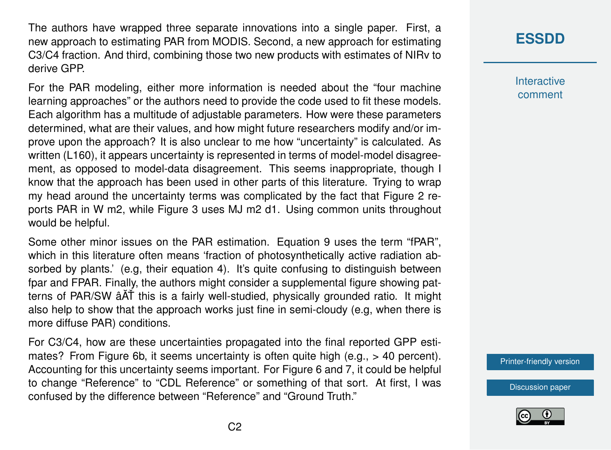The authors have wrapped three separate innovations into a single paper. First, a new approach to estimating PAR from MODIS. Second, a new approach for estimating C3/C4 fraction. And third, combining those two new products with estimates of NIRv to derive GPP.

For the PAR modeling, either more information is needed about the "four machine learning approaches" or the authors need to provide the code used to fit these models. Each algorithm has a multitude of adjustable parameters. How were these parameters determined, what are their values, and how might future researchers modify and/or improve upon the approach? It is also unclear to me how "uncertainty" is calculated. As written (L160), it appears uncertainty is represented in terms of model-model disagreement, as opposed to model-data disagreement. This seems inappropriate, though I know that the approach has been used in other parts of this literature. Trying to wrap my head around the uncertainty terms was complicated by the fact that Figure 2 reports PAR in W m2, while Figure 3 uses MJ m2 d1. Using common units throughout would be helpful.

Some other minor issues on the PAR estimation. Equation 9 uses the term "fPAR", which in this literature often means 'fraction of photosynthetically active radiation absorbed by plants.' (e.g, their equation 4). It's quite confusing to distinguish between fpar and FPAR. Finally, the authors might consider a supplemental figure showing patterns of PAR/SW âAT this is a fairly well-studied, physically grounded ratio. It might also help to show that the approach works just fine in semi-cloudy (e.g, when there is more diffuse PAR) conditions.

For C3/C4, how are these uncertainties propagated into the final reported GPP estimates? From Figure 6b, it seems uncertainty is often quite high (e.g., > 40 percent). Accounting for this uncertainty seems important. For Figure 6 and 7, it could be helpful to change "Reference" to "CDL Reference" or something of that sort. At first, I was confused by the difference between "Reference" and "Ground Truth."

## **[ESSDD](https://essd.copernicus.org/preprints/)**

**Interactive** comment

[Printer-friendly version](https://essd.copernicus.org/preprints/essd-2020-36/essd-2020-36-RC1-print.pdf)

[Discussion paper](https://essd.copernicus.org/preprints/essd-2020-36)